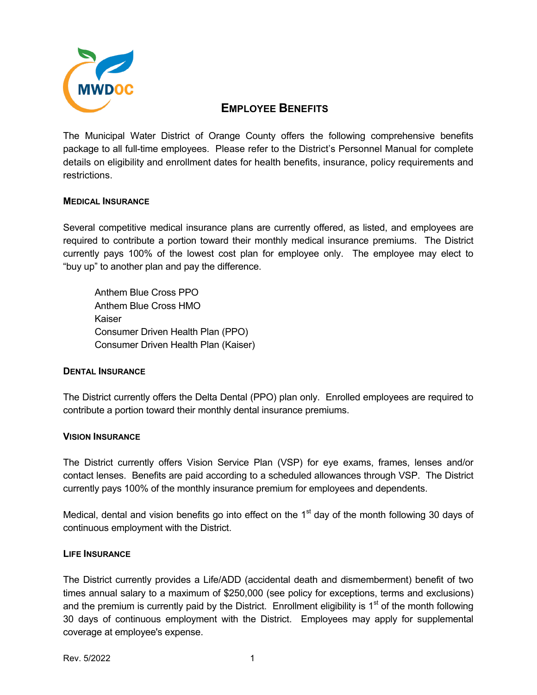

# **EMPLOYEE BENEFITS**

The Municipal Water District of Orange County offers the following comprehensive benefits package to all full-time employees. Please refer to the District's Personnel Manual for complete details on eligibility and enrollment dates for health benefits, insurance, policy requirements and restrictions.

# **MEDICAL INSURANCE**

Several competitive medical insurance plans are currently offered, as listed, and employees are required to contribute a portion toward their monthly medical insurance premiums. The District currently pays 100% of the lowest cost plan for employee only. The employee may elect to "buy up" to another plan and pay the difference.

Anthem Blue Cross PPO Anthem Blue Cross HMO Kaiser Consumer Driven Health Plan (PPO) Consumer Driven Health Plan (Kaiser)

## **DENTAL INSURANCE**

The District currently offers the Delta Dental (PPO) plan only. Enrolled employees are required to contribute a portion toward their monthly dental insurance premiums.

## **VISION INSURANCE**

The District currently offers Vision Service Plan (VSP) for eye exams, frames, lenses and/or contact lenses. Benefits are paid according to a scheduled allowances through VSP. The District currently pays 100% of the monthly insurance premium for employees and dependents.

Medical, dental and vision benefits go into effect on the  $1<sup>st</sup>$  day of the month following 30 days of continuous employment with the District.

## **LIFE INSURANCE**

The District currently provides a Life/ADD (accidental death and dismemberment) benefit of two times annual salary to a maximum of \$250,000 (see policy for exceptions, terms and exclusions) and the premium is currently paid by the District. Enrollment eligibility is  $1<sup>st</sup>$  of the month following 30 days of continuous employment with the District. Employees may apply for supplemental coverage at employee's expense.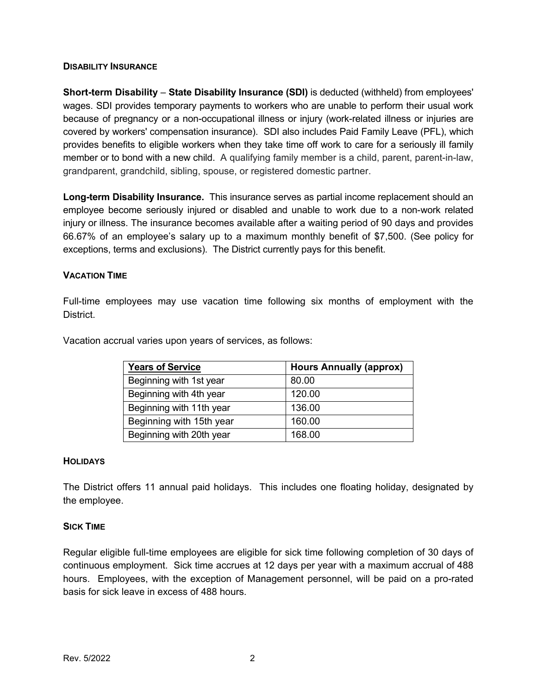## **DISABILITY INSURANCE**

**Short-term Disability** – **State Disability Insurance (SDI)** is deducted (withheld) from employees' wages. SDI provides temporary payments to workers who are unable to perform their usual work because of pregnancy or a non-occupational illness or injury (work-related illness or injuries are covered by [workers' compensation](http://www.dir.ca.gov/workers) insurance). SDI also includes [Paid Family Leave](http://www.edd.ca.gov/Disability/Paid_Family_Leave.htm) (PFL), which provides benefits to eligible workers when they take time off work to care for a seriously ill family member or to bond with a new child. A qualifying family member is a child, parent, parent-in-law, grandparent, grandchild, sibling, spouse, or registered domestic partner.

**Long-term Disability Insurance.** This insurance serves as partial income replacement should an employee become seriously injured or disabled and unable to work due to a non-work related injury or illness. The insurance becomes available after a waiting period of 90 days and provides 66.67% of an employee's salary up to a maximum monthly benefit of \$7,500. (See policy for exceptions, terms and exclusions). The District currently pays for this benefit.

# **VACATION TIME**

Full-time employees may use vacation time following six months of employment with the District.

| <b>Years of Service</b>  | <b>Hours Annually (approx)</b> |
|--------------------------|--------------------------------|
| Beginning with 1st year  | 80.00                          |
| Beginning with 4th year  | 120.00                         |
| Beginning with 11th year | 136.00                         |
| Beginning with 15th year | 160.00                         |

Beginning with 20th year 168.00

Vacation accrual varies upon years of services, as follows:

## **HOLIDAYS**

The District offers 11 annual paid holidays. This includes one floating holiday, designated by the employee.

## **SICK TIME**

Regular eligible full-time employees are eligible for sick time following completion of 30 days of continuous employment. Sick time accrues at 12 days per year with a maximum accrual of 488 hours. Employees, with the exception of Management personnel, will be paid on a pro-rated basis for sick leave in excess of 488 hours.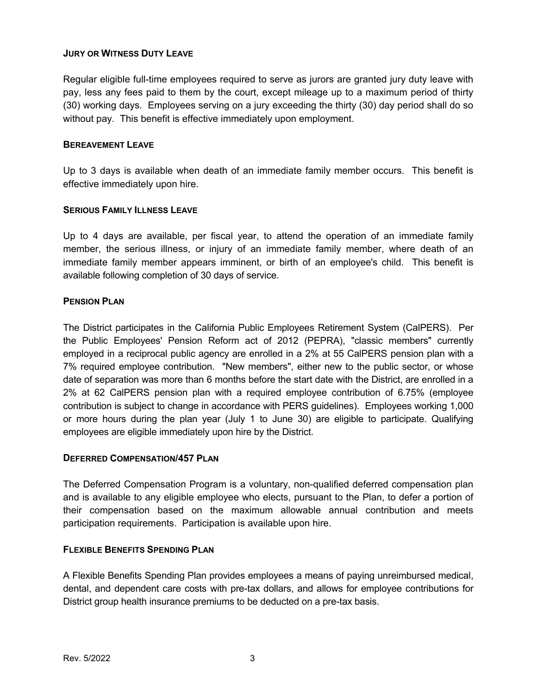# **JURY OR WITNESS DUTY LEAVE**

Regular eligible full-time employees required to serve as jurors are granted jury duty leave with pay, less any fees paid to them by the court, except mileage up to a maximum period of thirty (30) working days. Employees serving on a jury exceeding the thirty (30) day period shall do so without pay. This benefit is effective immediately upon employment.

## **BEREAVEMENT LEAVE**

Up to 3 days is available when death of an immediate family member occurs. This benefit is effective immediately upon hire.

## **SERIOUS FAMILY ILLNESS LEAVE**

Up to 4 days are available, per fiscal year, to attend the operation of an immediate family member, the serious illness, or injury of an immediate family member, where death of an immediate family member appears imminent, or birth of an employee's child. This benefit is available following completion of 30 days of service.

## **PENSION PLAN**

The District participates in the California Public Employees Retirement System (CalPERS). Per the Public Employees' Pension Reform act of 2012 (PEPRA), "classic members" currently employed in a reciprocal public agency are enrolled in a 2% at 55 CalPERS pension plan with a 7% required employee contribution. "New members", either new to the public sector, or whose date of separation was more than 6 months before the start date with the District, are enrolled in a 2% at 62 CalPERS pension plan with a required employee contribution of 6.75% (employee contribution is subject to change in accordance with PERS guidelines). Employees working 1,000 or more hours during the plan year (July 1 to June 30) are eligible to participate. Qualifying employees are eligible immediately upon hire by the District.

## **DEFERRED COMPENSATION/457 PLAN**

The Deferred Compensation Program is a voluntary, non-qualified deferred compensation plan and is available to any eligible employee who elects, pursuant to the Plan, to defer a portion of their compensation based on the maximum allowable annual contribution and meets participation requirements. Participation is available upon hire.

# **FLEXIBLE BENEFITS SPENDING PLAN**

A Flexible Benefits Spending Plan provides employees a means of paying unreimbursed medical, dental, and dependent care costs with pre-tax dollars, and allows for employee contributions for District group health insurance premiums to be deducted on a pre-tax basis.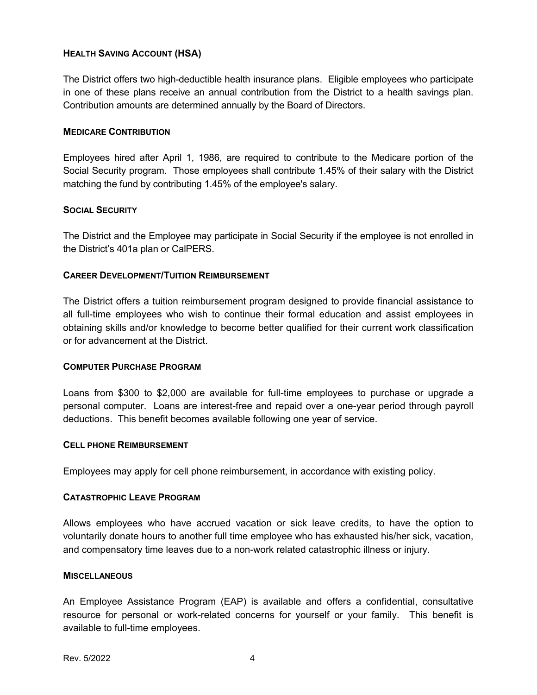# **HEALTH SAVING ACCOUNT (HSA)**

The District offers two high-deductible health insurance plans. Eligible employees who participate in one of these plans receive an annual contribution from the District to a health savings plan. Contribution amounts are determined annually by the Board of Directors.

## **MEDICARE CONTRIBUTION**

Employees hired after April 1, 1986, are required to contribute to the Medicare portion of the Social Security program. Those employees shall contribute 1.45% of their salary with the District matching the fund by contributing 1.45% of the employee's salary.

## **SOCIAL SECURITY**

The District and the Employee may participate in Social Security if the employee is not enrolled in the District's 401a plan or CalPERS.

# **CAREER DEVELOPMENT/TUITION REIMBURSEMENT**

The District offers a tuition reimbursement program designed to provide financial assistance to all full-time employees who wish to continue their formal education and assist employees in obtaining skills and/or knowledge to become better qualified for their current work classification or for advancement at the District.

## **COMPUTER PURCHASE PROGRAM**

Loans from \$300 to \$2,000 are available for full-time employees to purchase or upgrade a personal computer. Loans are interest-free and repaid over a one-year period through payroll deductions. This benefit becomes available following one year of service.

## **CELL PHONE REIMBURSEMENT**

Employees may apply for cell phone reimbursement, in accordance with existing policy.

## **CATASTROPHIC LEAVE PROGRAM**

Allows employees who have accrued vacation or sick leave credits, to have the option to voluntarily donate hours to another full time employee who has exhausted his/her sick, vacation, and compensatory time leaves due to a non-work related catastrophic illness or injury.

## **MISCELLANEOUS**

An Employee Assistance Program (EAP) is available and offers a confidential, consultative resource for personal or work-related concerns for yourself or your family. This benefit is available to full-time employees.